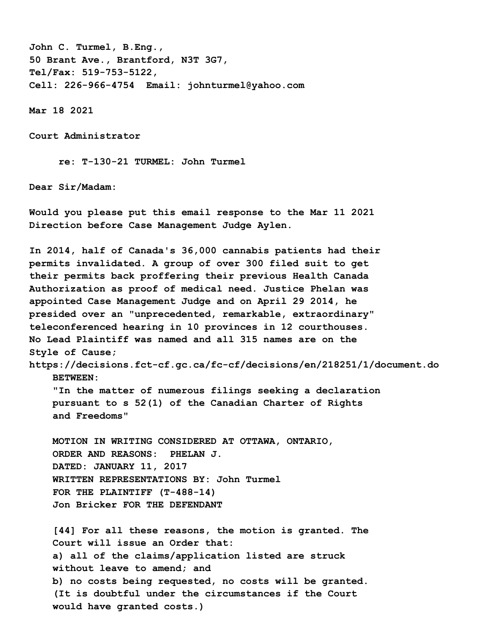**John C. Turmel, B.Eng., 50 Brant Ave., Brantford, N3T 3G7, Tel/Fax: 519-753-5122, Cell: 226-966-4754 Email: johnturmel@yahoo.com**

**Mar 18 2021** 

**Court Administrator**

 **re: T-130-21 TURMEL: John Turmel**

**Dear Sir/Madam:** 

**Would you please put this email response to the Mar 11 2021 Direction before Case Management Judge Aylen.** 

**In 2014, half of Canada's 36,000 cannabis patients had their permits invalidated. A group of over 300 filed suit to get their permits back proffering their previous Health Canada Authorization as proof of medical need. Justice Phelan was appointed Case Management Judge and on April 29 2014, he presided over an "unprecedented, remarkable, extraordinary" teleconferenced hearing in 10 provinces in 12 courthouses. No Lead Plaintiff was named and all 315 names are on the Style of Cause; https://decisions.fct-cf.gc.ca/fc-cf/decisions/en/218251/1/document.do**

 **BETWEEN:** 

 **"In the matter of numerous filings seeking a declaration pursuant to s 52(1) of the Canadian Charter of Rights and Freedoms"** 

 **MOTION IN WRITING CONSIDERED AT OTTAWA, ONTARIO, ORDER AND REASONS: PHELAN J. DATED: JANUARY 11, 2017 WRITTEN REPRESENTATIONS BY: John Turmel FOR THE PLAINTIFF (T-488-14) Jon Bricker FOR THE DEFENDANT**

 **[44] For all these reasons, the motion is granted. The Court will issue an Order that: a) all of the claims/application listed are struck without leave to amend; and b) no costs being requested, no costs will be granted. (It is doubtful under the circumstances if the Court would have granted costs.)**